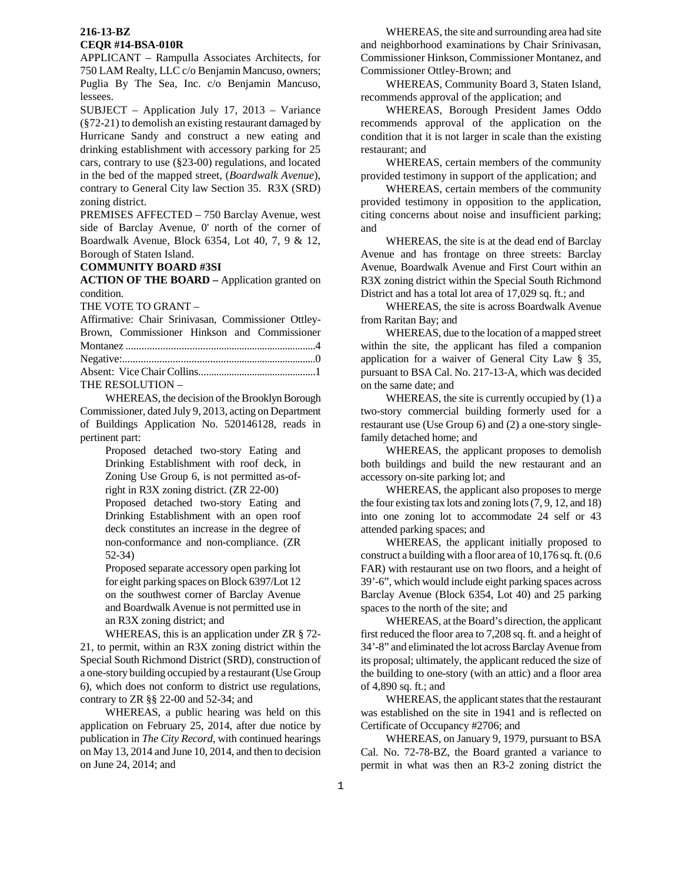APPLICANT – Rampulla Associates Architects, for 750 LAM Realty, LLC c/o Benjamin Mancuso, owners; Puglia By The Sea, Inc. c/o Benjamin Mancuso, lessees.

SUBJECT – Application July 17, 2013 – Variance (§72-21) to demolish an existing restaurant damaged by Hurricane Sandy and construct a new eating and drinking establishment with accessory parking for 25 cars, contrary to use (§23-00) regulations, and located in the bed of the mapped street, (*Boardwalk Avenue*), contrary to General City law Section 35. R3X (SRD) zoning district.

PREMISES AFFECTED – 750 Barclay Avenue, west side of Barclay Avenue, 0' north of the corner of Boardwalk Avenue, Block 6354, Lot 40, 7, 9 & 12, Borough of Staten Island.

#### **COMMUNITY BOARD #3SI**

**ACTION OF THE BOARD –** Application granted on condition.

THE VOTE TO GRANT –

Affirmative: Chair Srinivasan, Commissioner Ottley-Brown, Commissioner Hinkson and Commissioner Montanez .........................................................................4 Negative:..........................................................................0 Absent: Vice Chair Collins..............................................1 THE RESOLUTION –

 WHEREAS, the decision of the Brooklyn Borough Commissioner, dated July 9, 2013, acting on Department of Buildings Application No. 520146128, reads in pertinent part:

> Proposed detached two-story Eating and Drinking Establishment with roof deck, in Zoning Use Group 6, is not permitted as-ofright in R3X zoning district. (ZR 22-00)

> Proposed detached two-story Eating and Drinking Establishment with an open roof deck constitutes an increase in the degree of non-conformance and non-compliance. (ZR 52-34)

> Proposed separate accessory open parking lot for eight parking spaces on Block 6397/Lot 12 on the southwest corner of Barclay Avenue and Boardwalk Avenue is not permitted use in an R3X zoning district; and

 WHEREAS, this is an application under ZR § 72- 21, to permit, within an R3X zoning district within the Special South Richmond District (SRD), construction of a one-story building occupied by a restaurant (Use Group 6), which does not conform to district use regulations, contrary to ZR §§ 22-00 and 52-34; and

 WHEREAS, a public hearing was held on this application on February 25, 2014, after due notice by publication in *The City Record*, with continued hearings on May 13, 2014 and June 10, 2014, and then to decision on June 24, 2014; and

 WHEREAS, the site and surrounding area had site and neighborhood examinations by Chair Srinivasan, Commissioner Hinkson, Commissioner Montanez, and Commissioner Ottley-Brown; and

WHEREAS, Community Board 3, Staten Island, recommends approval of the application; and

WHEREAS, Borough President James Oddo recommends approval of the application on the condition that it is not larger in scale than the existing restaurant; and

WHEREAS, certain members of the community provided testimony in support of the application; and

WHEREAS, certain members of the community provided testimony in opposition to the application, citing concerns about noise and insufficient parking; and

WHEREAS, the site is at the dead end of Barclay Avenue and has frontage on three streets: Barclay Avenue, Boardwalk Avenue and First Court within an R3X zoning district within the Special South Richmond District and has a total lot area of 17,029 sq. ft.; and

WHEREAS, the site is across Boardwalk Avenue from Raritan Bay; and

WHEREAS, due to the location of a mapped street within the site, the applicant has filed a companion application for a waiver of General City Law § 35, pursuant to BSA Cal. No. 217-13-A, which was decided on the same date; and

WHEREAS, the site is currently occupied by (1) a two-story commercial building formerly used for a restaurant use (Use Group 6) and (2) a one-story singlefamily detached home; and

WHEREAS, the applicant proposes to demolish both buildings and build the new restaurant and an accessory on-site parking lot; and

WHEREAS, the applicant also proposes to merge the four existing tax lots and zoning lots (7, 9, 12, and 18) into one zoning lot to accommodate 24 self or 43 attended parking spaces; and

WHEREAS, the applicant initially proposed to construct a building with a floor area of 10,176 sq. ft. (0.6 FAR) with restaurant use on two floors, and a height of 39'-6", which would include eight parking spaces across Barclay Avenue (Block 6354, Lot 40) and 25 parking spaces to the north of the site; and

WHEREAS, at the Board's direction, the applicant first reduced the floor area to 7,208 sq. ft. and a height of 34'-8" and eliminated the lot across Barclay Avenue from its proposal; ultimately, the applicant reduced the size of the building to one-story (with an attic) and a floor area of 4,890 sq. ft.; and

WHEREAS, the applicant states that the restaurant was established on the site in 1941 and is reflected on Certificate of Occupancy #2706; and

WHEREAS, on January 9, 1979, pursuant to BSA Cal. No. 72-78-BZ, the Board granted a variance to permit in what was then an R3-2 zoning district the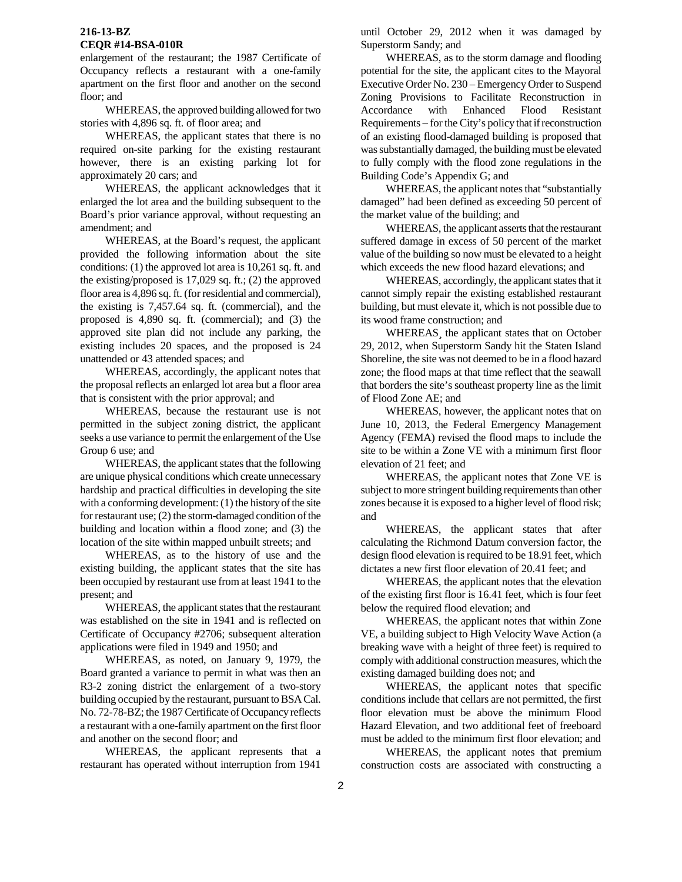# **216-13-BZ**

# **CEQR #14-BSA-010R**

enlargement of the restaurant; the 1987 Certificate of Occupancy reflects a restaurant with a one-family apartment on the first floor and another on the second floor; and

WHEREAS, the approved building allowed for two stories with 4,896 sq. ft. of floor area; and

WHEREAS, the applicant states that there is no required on-site parking for the existing restaurant however, there is an existing parking lot for approximately 20 cars; and

WHEREAS, the applicant acknowledges that it enlarged the lot area and the building subsequent to the Board's prior variance approval, without requesting an amendment; and

WHEREAS, at the Board's request, the applicant provided the following information about the site conditions: (1) the approved lot area is 10,261 sq. ft. and the existing/proposed is 17,029 sq. ft.; (2) the approved floor area is 4,896 sq. ft. (for residential and commercial), the existing is 7,457.64 sq. ft. (commercial), and the proposed is 4,890 sq. ft. (commercial); and (3) the approved site plan did not include any parking, the existing includes 20 spaces, and the proposed is 24 unattended or 43 attended spaces; and

WHEREAS, accordingly, the applicant notes that the proposal reflects an enlarged lot area but a floor area that is consistent with the prior approval; and

WHEREAS, because the restaurant use is not permitted in the subject zoning district, the applicant seeks a use variance to permit the enlargement of the Use Group 6 use; and

WHEREAS, the applicant states that the following are unique physical conditions which create unnecessary hardship and practical difficulties in developing the site with a conforming development: (1) the history of the site for restaurant use; (2) the storm-damaged condition of the building and location within a flood zone; and (3) the location of the site within mapped unbuilt streets; and

WHEREAS, as to the history of use and the existing building, the applicant states that the site has been occupied by restaurant use from at least 1941 to the present; and

WHEREAS, the applicant states that the restaurant was established on the site in 1941 and is reflected on Certificate of Occupancy #2706; subsequent alteration applications were filed in 1949 and 1950; and

WHEREAS, as noted, on January 9, 1979, the Board granted a variance to permit in what was then an R3-2 zoning district the enlargement of a two-story building occupied by the restaurant, pursuant to BSA Cal. No. 72-78-BZ; the 1987 Certificate of Occupancy reflects a restaurant with a one-family apartment on the first floor and another on the second floor; and

WHEREAS, the applicant represents that a restaurant has operated without interruption from 1941

until October 29, 2012 when it was damaged by Superstorm Sandy; and

WHEREAS, as to the storm damage and flooding potential for the site, the applicant cites to the Mayoral Executive Order No. 230 – Emergency Order to Suspend Zoning Provisions to Facilitate Reconstruction in Accordance with Enhanced Flood Resistant Requirements – for the City's policy that if reconstruction of an existing flood-damaged building is proposed that was substantially damaged, the building must be elevated to fully comply with the flood zone regulations in the Building Code's Appendix G; and

WHEREAS, the applicant notes that "substantially damaged" had been defined as exceeding 50 percent of the market value of the building; and

WHEREAS, the applicant asserts that the restaurant suffered damage in excess of 50 percent of the market value of the building so now must be elevated to a height which exceeds the new flood hazard elevations; and

WHEREAS, accordingly, the applicant states that it cannot simply repair the existing established restaurant building, but must elevate it, which is not possible due to its wood frame construction; and

WHEREAS¸ the applicant states that on October 29, 2012, when Superstorm Sandy hit the Staten Island Shoreline, the site was not deemed to be in a flood hazard zone; the flood maps at that time reflect that the seawall that borders the site's southeast property line as the limit of Flood Zone AE; and

WHEREAS, however, the applicant notes that on June 10, 2013, the Federal Emergency Management Agency (FEMA) revised the flood maps to include the site to be within a Zone VE with a minimum first floor elevation of 21 feet; and

WHEREAS, the applicant notes that Zone VE is subject to more stringent building requirements than other zones because it is exposed to a higher level of flood risk; and

WHEREAS, the applicant states that after calculating the Richmond Datum conversion factor, the design flood elevation is required to be 18.91 feet, which dictates a new first floor elevation of 20.41 feet; and

WHEREAS, the applicant notes that the elevation of the existing first floor is 16.41 feet, which is four feet below the required flood elevation; and

WHEREAS, the applicant notes that within Zone VE, a building subject to High Velocity Wave Action (a breaking wave with a height of three feet) is required to comply with additional construction measures, which the existing damaged building does not; and

WHEREAS, the applicant notes that specific conditions include that cellars are not permitted, the first floor elevation must be above the minimum Flood Hazard Elevation, and two additional feet of freeboard must be added to the minimum first floor elevation; and

WHEREAS, the applicant notes that premium construction costs are associated with constructing a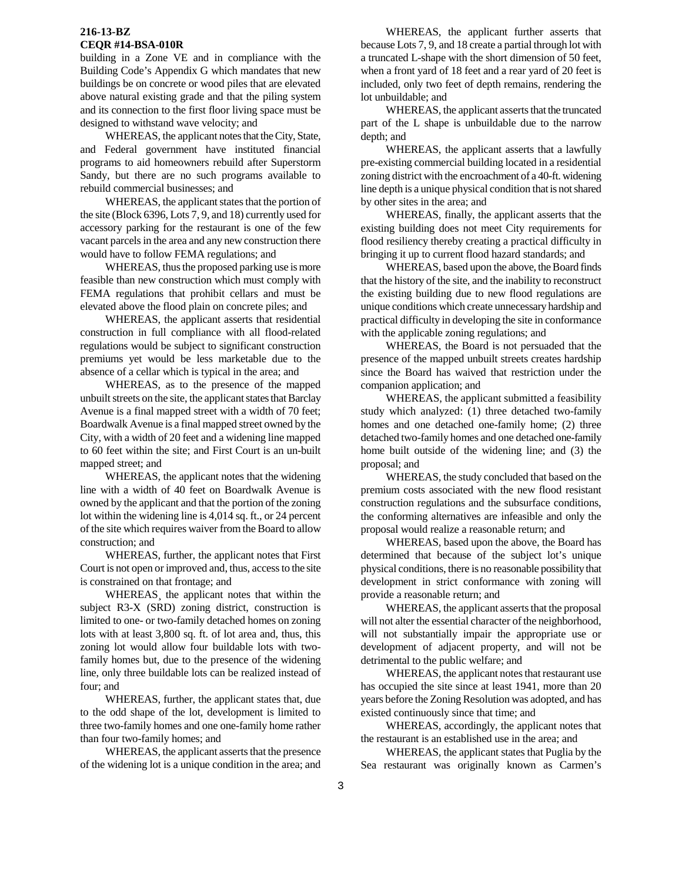building in a Zone VE and in compliance with the Building Code's Appendix G which mandates that new buildings be on concrete or wood piles that are elevated above natural existing grade and that the piling system and its connection to the first floor living space must be designed to withstand wave velocity; and

WHEREAS, the applicant notes that the City, State, and Federal government have instituted financial programs to aid homeowners rebuild after Superstorm Sandy, but there are no such programs available to rebuild commercial businesses; and

WHEREAS, the applicant states that the portion of the site (Block 6396, Lots 7, 9, and 18) currently used for accessory parking for the restaurant is one of the few vacant parcels in the area and any new construction there would have to follow FEMA regulations; and

WHEREAS, thus the proposed parking use is more feasible than new construction which must comply with FEMA regulations that prohibit cellars and must be elevated above the flood plain on concrete piles; and

WHEREAS, the applicant asserts that residential construction in full compliance with all flood-related regulations would be subject to significant construction premiums yet would be less marketable due to the absence of a cellar which is typical in the area; and

WHEREAS, as to the presence of the mapped unbuilt streets on the site, the applicant states that Barclay Avenue is a final mapped street with a width of 70 feet; Boardwalk Avenue is a final mapped street owned by the City, with a width of 20 feet and a widening line mapped to 60 feet within the site; and First Court is an un-built mapped street; and

WHEREAS, the applicant notes that the widening line with a width of 40 feet on Boardwalk Avenue is owned by the applicant and that the portion of the zoning lot within the widening line is 4,014 sq. ft., or 24 percent of the site which requires waiver from the Board to allow construction; and

WHEREAS, further, the applicant notes that First Court is not open or improved and, thus, access to the site is constrained on that frontage; and

WHEREAS¸ the applicant notes that within the subject R3-X (SRD) zoning district, construction is limited to one- or two-family detached homes on zoning lots with at least 3,800 sq. ft. of lot area and, thus, this zoning lot would allow four buildable lots with twofamily homes but, due to the presence of the widening line, only three buildable lots can be realized instead of four; and

WHEREAS, further, the applicant states that, due to the odd shape of the lot, development is limited to three two-family homes and one one-family home rather than four two-family homes; and

WHEREAS, the applicant asserts that the presence of the widening lot is a unique condition in the area; and

WHEREAS, the applicant further asserts that because Lots 7, 9, and 18 create a partial through lot with a truncated L-shape with the short dimension of 50 feet, when a front yard of 18 feet and a rear yard of 20 feet is included, only two feet of depth remains, rendering the lot unbuildable; and

WHEREAS, the applicant asserts that the truncated part of the L shape is unbuildable due to the narrow depth; and

WHEREAS, the applicant asserts that a lawfully pre-existing commercial building located in a residential zoning district with the encroachment of a 40-ft. widening line depth is a unique physical condition that is not shared by other sites in the area; and

WHEREAS, finally, the applicant asserts that the existing building does not meet City requirements for flood resiliency thereby creating a practical difficulty in bringing it up to current flood hazard standards; and

WHEREAS, based upon the above, the Board finds that the history of the site, and the inability to reconstruct the existing building due to new flood regulations are unique conditions which create unnecessary hardship and practical difficulty in developing the site in conformance with the applicable zoning regulations; and

WHEREAS, the Board is not persuaded that the presence of the mapped unbuilt streets creates hardship since the Board has waived that restriction under the companion application; and

WHEREAS, the applicant submitted a feasibility study which analyzed: (1) three detached two-family homes and one detached one-family home; (2) three detached two-family homes and one detached one-family home built outside of the widening line; and (3) the proposal; and

WHEREAS, the study concluded that based on the premium costs associated with the new flood resistant construction regulations and the subsurface conditions, the conforming alternatives are infeasible and only the proposal would realize a reasonable return; and

WHEREAS, based upon the above, the Board has determined that because of the subject lot's unique physical conditions, there is no reasonable possibility that development in strict conformance with zoning will provide a reasonable return; and

WHEREAS, the applicant asserts that the proposal will not alter the essential character of the neighborhood, will not substantially impair the appropriate use or development of adjacent property, and will not be detrimental to the public welfare; and

WHEREAS, the applicant notes that restaurant use has occupied the site since at least 1941, more than 20 years before the Zoning Resolution was adopted, and has existed continuously since that time; and

WHEREAS, accordingly, the applicant notes that the restaurant is an established use in the area; and

WHEREAS, the applicant states that Puglia by the Sea restaurant was originally known as Carmen's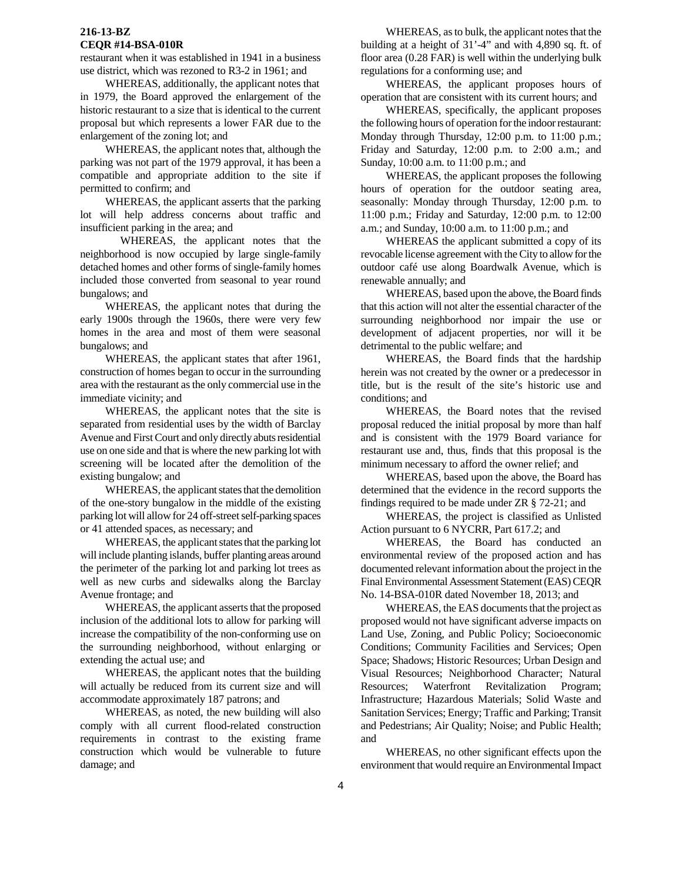restaurant when it was established in 1941 in a business use district, which was rezoned to R3-2 in 1961; and

WHEREAS, additionally, the applicant notes that in 1979, the Board approved the enlargement of the historic restaurant to a size that is identical to the current proposal but which represents a lower FAR due to the enlargement of the zoning lot; and

WHEREAS, the applicant notes that, although the parking was not part of the 1979 approval, it has been a compatible and appropriate addition to the site if permitted to confirm; and

WHEREAS, the applicant asserts that the parking lot will help address concerns about traffic and insufficient parking in the area; and

 WHEREAS, the applicant notes that the neighborhood is now occupied by large single-family detached homes and other forms of single-family homes included those converted from seasonal to year round bungalows; and

WHEREAS, the applicant notes that during the early 1900s through the 1960s, there were very few homes in the area and most of them were seasonal bungalows; and

WHEREAS, the applicant states that after 1961, construction of homes began to occur in the surrounding area with the restaurant as the only commercial use in the immediate vicinity; and

WHEREAS, the applicant notes that the site is separated from residential uses by the width of Barclay Avenue and First Court and only directly abuts residential use on one side and that is where the new parking lot with screening will be located after the demolition of the existing bungalow; and

WHEREAS, the applicant states that the demolition of the one-story bungalow in the middle of the existing parking lot will allow for 24 off-street self-parking spaces or 41 attended spaces, as necessary; and

WHEREAS, the applicant states that the parking lot will include planting islands, buffer planting areas around the perimeter of the parking lot and parking lot trees as well as new curbs and sidewalks along the Barclay Avenue frontage; and

WHEREAS, the applicant asserts that the proposed inclusion of the additional lots to allow for parking will increase the compatibility of the non-conforming use on the surrounding neighborhood, without enlarging or extending the actual use; and

WHEREAS, the applicant notes that the building will actually be reduced from its current size and will accommodate approximately 187 patrons; and

WHEREAS, as noted, the new building will also comply with all current flood-related construction requirements in contrast to the existing frame construction which would be vulnerable to future damage; and

WHEREAS, as to bulk, the applicant notes that the building at a height of 31'-4" and with 4,890 sq. ft. of floor area (0.28 FAR) is well within the underlying bulk regulations for a conforming use; and

WHEREAS, the applicant proposes hours of operation that are consistent with its current hours; and

WHEREAS, specifically, the applicant proposes the following hours of operation for the indoor restaurant: Monday through Thursday, 12:00 p.m. to 11:00 p.m.; Friday and Saturday, 12:00 p.m. to 2:00 a.m.; and Sunday, 10:00 a.m. to 11:00 p.m.; and

WHEREAS, the applicant proposes the following hours of operation for the outdoor seating area, seasonally: Monday through Thursday, 12:00 p.m. to 11:00 p.m.; Friday and Saturday, 12:00 p.m. to 12:00 a.m.; and Sunday, 10:00 a.m. to 11:00 p.m.; and

WHEREAS the applicant submitted a copy of its revocable license agreement with the City to allow for the outdoor café use along Boardwalk Avenue, which is renewable annually; and

WHEREAS, based upon the above, the Board finds that this action will not alter the essential character of the surrounding neighborhood nor impair the use or development of adjacent properties, nor will it be detrimental to the public welfare; and

WHEREAS, the Board finds that the hardship herein was not created by the owner or a predecessor in title, but is the result of the site's historic use and conditions; and

WHEREAS, the Board notes that the revised proposal reduced the initial proposal by more than half and is consistent with the 1979 Board variance for restaurant use and, thus, finds that this proposal is the minimum necessary to afford the owner relief; and

WHEREAS, based upon the above, the Board has determined that the evidence in the record supports the findings required to be made under ZR § 72-21; and

WHEREAS, the project is classified as Unlisted Action pursuant to 6 NYCRR, Part 617.2; and

WHEREAS, the Board has conducted an environmental review of the proposed action and has documented relevant information about the project in the Final Environmental Assessment Statement (EAS) CEQR No. 14-BSA-010R dated November 18, 2013; and

WHEREAS, the EAS documents that the project as proposed would not have significant adverse impacts on Land Use, Zoning, and Public Policy; Socioeconomic Conditions; Community Facilities and Services; Open Space; Shadows; Historic Resources; Urban Design and Visual Resources; Neighborhood Character; Natural Resources; Waterfront Revitalization Program; Infrastructure; Hazardous Materials; Solid Waste and Sanitation Services; Energy; Traffic and Parking; Transit and Pedestrians; Air Quality; Noise; and Public Health; and

WHEREAS, no other significant effects upon the environment that would require an Environmental Impact